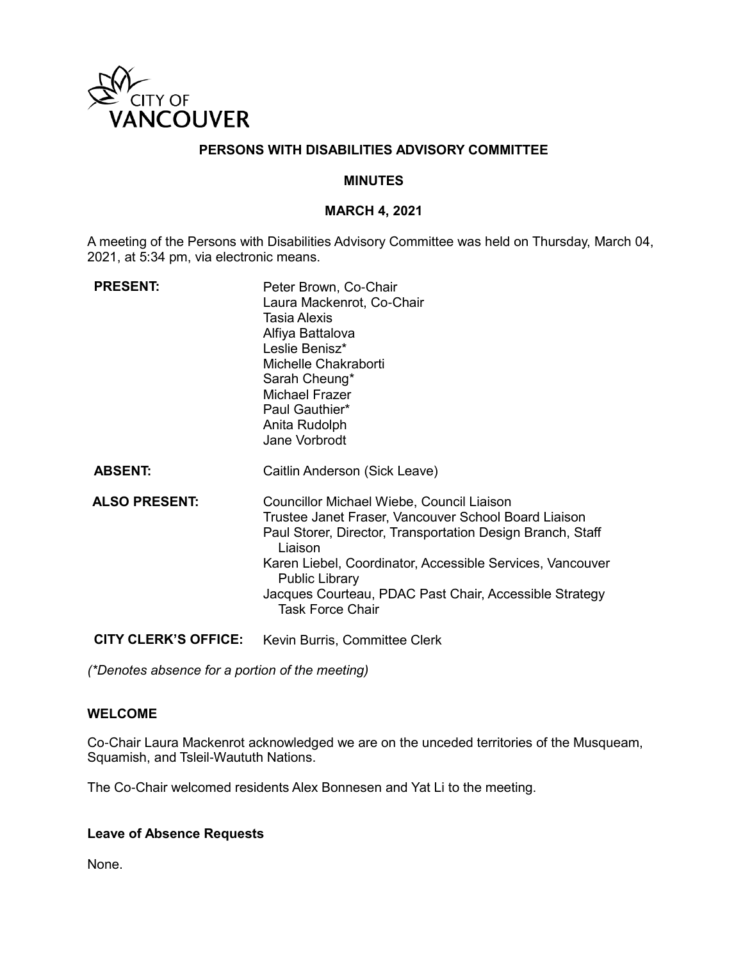

## **PERSONS WITH DISABILITIES ADVISORY COMMITTEE**

## **MINUTES**

### **MARCH 4, 2021**

A meeting of the Persons with Disabilities Advisory Committee was held on Thursday, March 04, 2021, at 5:34 pm, via electronic means.

| <b>PRESENT:</b>             | Peter Brown, Co-Chair<br>Laura Mackenrot, Co-Chair<br>Tasia Alexis<br>Alfiya Battalova<br>Leslie Benisz*<br>Michelle Chakraborti<br>Sarah Cheung*<br>Michael Frazer<br>Paul Gauthier*<br>Anita Rudolph<br>Jane Vorbrodt                                                                                                                               |
|-----------------------------|-------------------------------------------------------------------------------------------------------------------------------------------------------------------------------------------------------------------------------------------------------------------------------------------------------------------------------------------------------|
| <b>ABSENT:</b>              | Caitlin Anderson (Sick Leave)                                                                                                                                                                                                                                                                                                                         |
| <b>ALSO PRESENT:</b>        | Councillor Michael Wiebe, Council Liaison<br>Trustee Janet Fraser, Vancouver School Board Liaison<br>Paul Storer, Director, Transportation Design Branch, Staff<br>Liaison<br>Karen Liebel, Coordinator, Accessible Services, Vancouver<br><b>Public Library</b><br>Jacques Courteau, PDAC Past Chair, Accessible Strategy<br><b>Task Force Chair</b> |
| <b>CITY CLERK'S OFFICE:</b> | Kevin Burris, Committee Clerk                                                                                                                                                                                                                                                                                                                         |

*(\*Denotes absence for a portion of the meeting)*

### **WELCOME**

Co-Chair Laura Mackenrot acknowledged we are on the unceded territories of the Musqueam, Squamish, and Tsleil-Waututh Nations.

The Co-Chair welcomed residents Alex Bonnesen and Yat Li to the meeting.

### **Leave of Absence Requests**

None.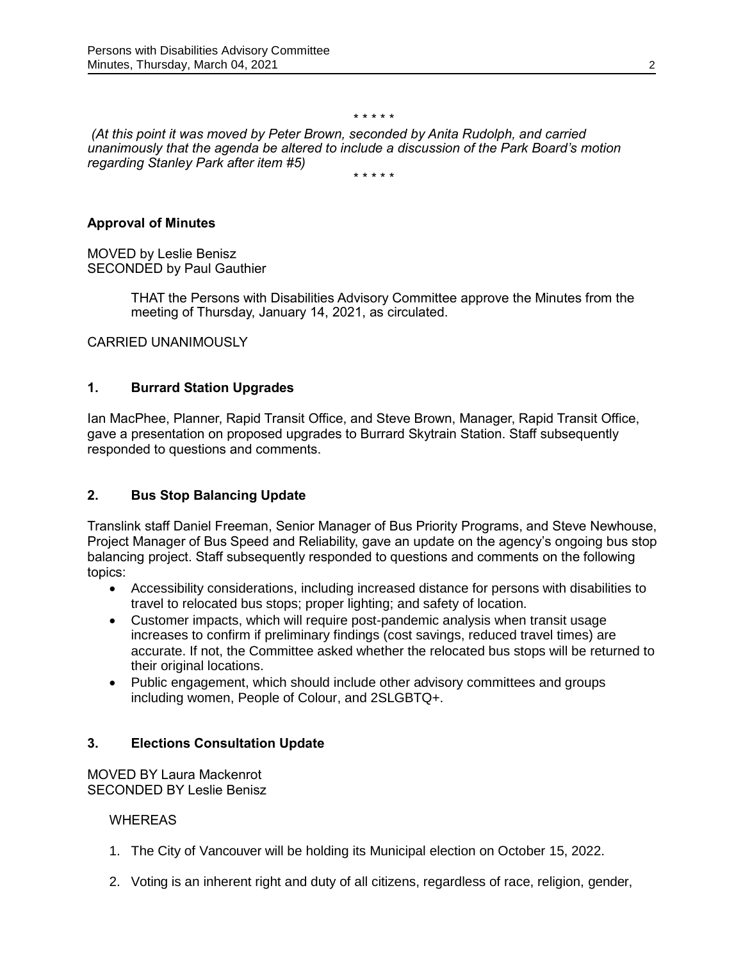#### \* \* \* \* \*

*(At this point it was moved by Peter Brown, seconded by Anita Rudolph, and carried unanimously that the agenda be altered to include a discussion of the Park Board's motion regarding Stanley Park after item #5)*

\* \* \* \* \*

## **Approval of Minutes**

MOVED by Leslie Benisz SECONDED by Paul Gauthier

> THAT the Persons with Disabilities Advisory Committee approve the Minutes from the meeting of Thursday, January 14, 2021, as circulated.

CARRIED UNANIMOUSLY

## **1. Burrard Station Upgrades**

Ian MacPhee, Planner, Rapid Transit Office, and Steve Brown, Manager, Rapid Transit Office, gave a presentation on proposed upgrades to Burrard Skytrain Station. Staff subsequently responded to questions and comments.

## **2. Bus Stop Balancing Update**

Translink staff Daniel Freeman, Senior Manager of Bus Priority Programs, and Steve Newhouse, Project Manager of Bus Speed and Reliability, gave an update on the agency's ongoing bus stop balancing project. Staff subsequently responded to questions and comments on the following topics:

- Accessibility considerations, including increased distance for persons with disabilities to travel to relocated bus stops; proper lighting; and safety of location.
- Customer impacts, which will require post-pandemic analysis when transit usage increases to confirm if preliminary findings (cost savings, reduced travel times) are accurate. If not, the Committee asked whether the relocated bus stops will be returned to their original locations.
- Public engagement, which should include other advisory committees and groups including women, People of Colour, and 2SLGBTQ+.

## **3. Elections Consultation Update**

MOVED BY Laura Mackenrot SECONDED BY Leslie Benisz

WHEREAS

- 1. The City of Vancouver will be holding its Municipal election on October 15, 2022.
- 2. Voting is an inherent right and duty of all citizens, regardless of race, religion, gender,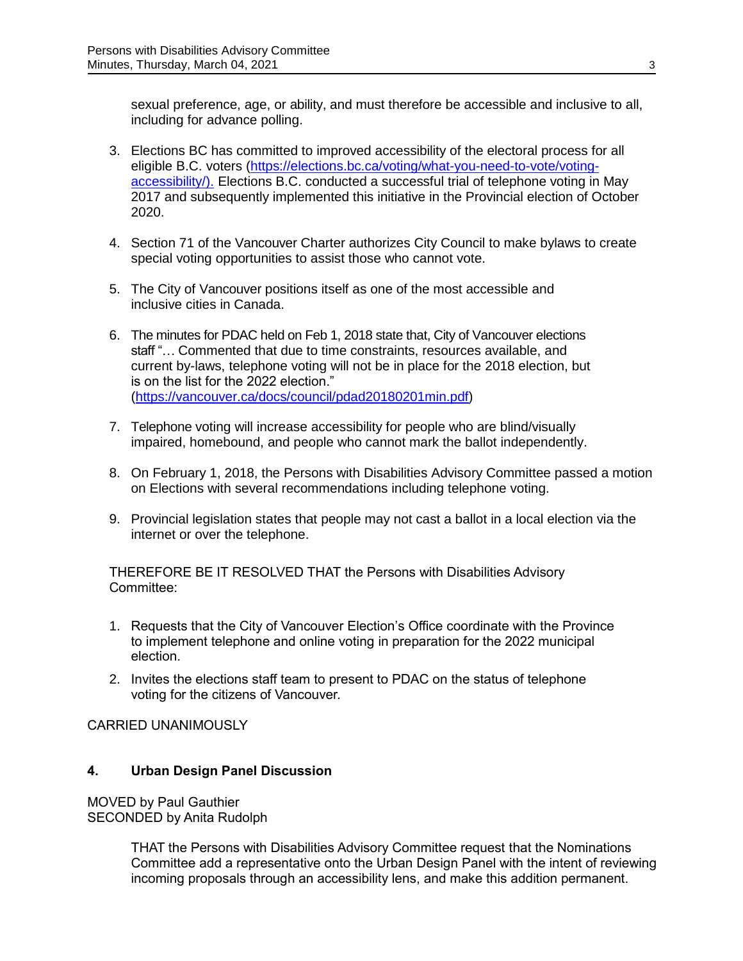sexual preference, age, or ability, and must therefore be accessible and inclusive to all, including for advance polling.

- 3. Elections BC has committed to improved accessibility of the electoral process for all eligible B.C. voters [\(https://elections.bc.ca/voting/what-you-need-to-vote/voting](https://elections.bc.ca/voting/what-you-need-to-vote/voting-accessibility/)[accessibility/\)](https://elections.bc.ca/voting/what-you-need-to-vote/voting-accessibility/). Elections B.C. conducted a successful trial of telephone voting in May 2017 and subsequently implemented this initiative in the Provincial election of October 2020.
- 4. Section 71 of the Vancouver Charter authorizes City Council to make bylaws to create special voting opportunities to assist those who cannot vote.
- 5. The City of Vancouver positions itself as one of the most accessible and inclusive cities in Canada.
- 6. The minutes for PDAC held on Feb 1, 2018 state that, City of Vancouver elections staff "… Commented that due to time constraints, resources available, and current by-laws, telephone voting will not be in place for the 2018 election, but is on the list for the 2022 election." [\(https://vancouver.ca/docs/council/pdad20180201min.pdf\)](https://vancouver.ca/docs/council/pdad20180201min.pdf)
- 7. Telephone voting will increase accessibility for people who are blind/visually impaired, homebound, and people who cannot mark the ballot independently.
- 8. On February 1, 2018, the Persons with Disabilities Advisory Committee passed a motion on Elections with several recommendations including telephone voting.
- 9. Provincial legislation states that people may not cast a ballot in a local election via the internet or over the telephone.

THEREFORE BE IT RESOLVED THAT the Persons with Disabilities Advisory Committee:

- 1. Requests that the City of Vancouver Election's Office coordinate with the Province to implement telephone and online voting in preparation for the 2022 municipal election.
- 2. Invites the elections staff team to present to PDAC on the status of telephone voting for the citizens of Vancouver.

CARRIED UNANIMOUSLY

## **4. Urban Design Panel Discussion**

MOVED by Paul Gauthier SECONDED by Anita Rudolph

> THAT the Persons with Disabilities Advisory Committee request that the Nominations Committee add a representative onto the Urban Design Panel with the intent of reviewing incoming proposals through an accessibility lens, and make this addition permanent.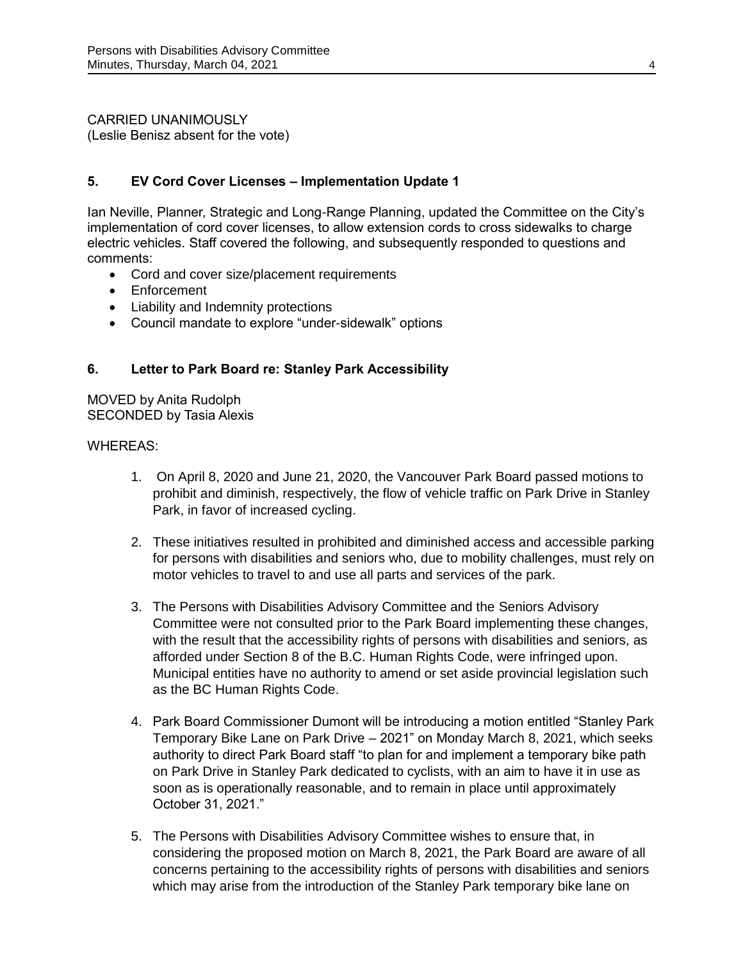CARRIED UNANIMOUSLY (Leslie Benisz absent for the vote)

## **5. EV Cord Cover Licenses – Implementation Update 1**

Ian Neville, Planner, Strategic and Long-Range Planning, updated the Committee on the City's implementation of cord cover licenses, to allow extension cords to cross sidewalks to charge electric vehicles. Staff covered the following, and subsequently responded to questions and comments:

- Cord and cover size/placement requirements
- Enforcement
- Liability and Indemnity protections
- Council mandate to explore "under-sidewalk" options

## **6. Letter to Park Board re: Stanley Park Accessibility**

MOVED by Anita Rudolph SECONDED by Tasia Alexis

### WHEREAS:

- 1. On April 8, 2020 and June 21, 2020, the Vancouver Park Board passed motions to prohibit and diminish, respectively, the flow of vehicle traffic on Park Drive in Stanley Park, in favor of increased cycling.
- 2. These initiatives resulted in prohibited and diminished access and accessible parking for persons with disabilities and seniors who, due to mobility challenges, must rely on motor vehicles to travel to and use all parts and services of the park.
- 3. The Persons with Disabilities Advisory Committee and the Seniors Advisory Committee were not consulted prior to the Park Board implementing these changes, with the result that the accessibility rights of persons with disabilities and seniors, as afforded under Section 8 of the B.C. Human Rights Code, were infringed upon. Municipal entities have no authority to amend or set aside provincial legislation such as the BC Human Rights Code.
- 4. Park Board Commissioner Dumont will be introducing a motion entitled "Stanley Park Temporary Bike Lane on Park Drive – 2021" on Monday March 8, 2021, which seeks authority to direct Park Board staff "to plan for and implement a temporary bike path on Park Drive in Stanley Park dedicated to cyclists, with an aim to have it in use as soon as is operationally reasonable, and to remain in place until approximately October 31, 2021."
- 5. The Persons with Disabilities Advisory Committee wishes to ensure that, in considering the proposed motion on March 8, 2021, the Park Board are aware of all concerns pertaining to the accessibility rights of persons with disabilities and seniors which may arise from the introduction of the Stanley Park temporary bike lane on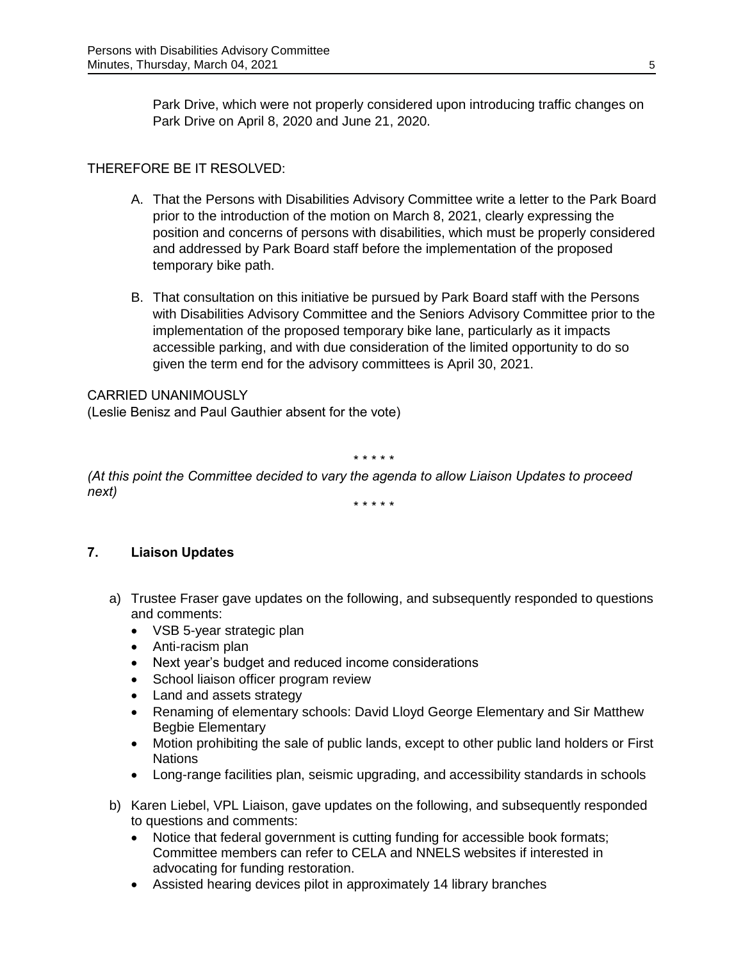Park Drive, which were not properly considered upon introducing traffic changes on Park Drive on April 8, 2020 and June 21, 2020.

# THEREFORE BE IT RESOLVED:

- A. That the Persons with Disabilities Advisory Committee write a letter to the Park Board prior to the introduction of the motion on March 8, 2021, clearly expressing the position and concerns of persons with disabilities, which must be properly considered and addressed by Park Board staff before the implementation of the proposed temporary bike path.
- B. That consultation on this initiative be pursued by Park Board staff with the Persons with Disabilities Advisory Committee and the Seniors Advisory Committee prior to the implementation of the proposed temporary bike lane, particularly as it impacts accessible parking, and with due consideration of the limited opportunity to do so given the term end for the advisory committees is April 30, 2021.

## CARRIED UNANIMOUSLY

(Leslie Benisz and Paul Gauthier absent for the vote)

\* \* \* \* \*

*(At this point the Committee decided to vary the agenda to allow Liaison Updates to proceed next)*

\* \* \* \* \*

## **7. Liaison Updates**

- a) Trustee Fraser gave updates on the following, and subsequently responded to questions and comments:
	- VSB 5-year strategic plan
	- Anti-racism plan
	- Next year's budget and reduced income considerations
	- School liaison officer program review
	- Land and assets strategy
	- Renaming of elementary schools: David Lloyd George Elementary and Sir Matthew Begbie Elementary
	- Motion prohibiting the sale of public lands, except to other public land holders or First Nations
	- Long-range facilities plan, seismic upgrading, and accessibility standards in schools
- b) Karen Liebel, VPL Liaison, gave updates on the following, and subsequently responded to questions and comments:
	- Notice that federal government is cutting funding for accessible book formats; Committee members can refer to CELA and NNELS websites if interested in advocating for funding restoration.
	- Assisted hearing devices pilot in approximately 14 library branches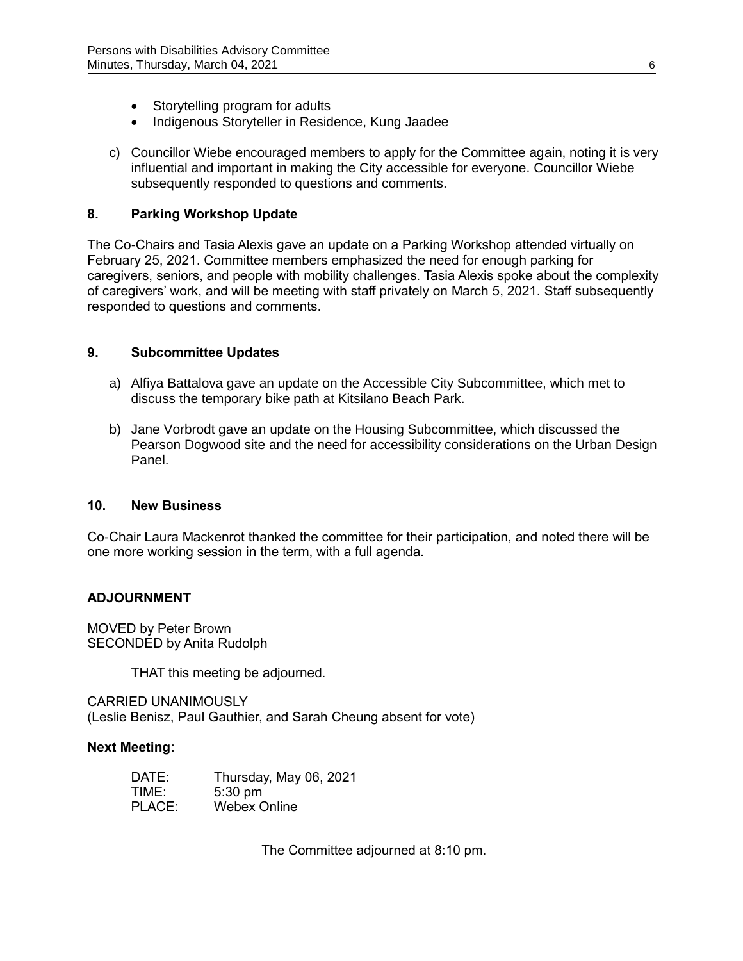- Storytelling program for adults
- Indigenous Storyteller in Residence, Kung Jaadee
- c) Councillor Wiebe encouraged members to apply for the Committee again, noting it is very influential and important in making the City accessible for everyone. Councillor Wiebe subsequently responded to questions and comments.

## **8. Parking Workshop Update**

The Co-Chairs and Tasia Alexis gave an update on a Parking Workshop attended virtually on February 25, 2021. Committee members emphasized the need for enough parking for caregivers, seniors, and people with mobility challenges. Tasia Alexis spoke about the complexity of caregivers' work, and will be meeting with staff privately on March 5, 2021. Staff subsequently responded to questions and comments.

### **9. Subcommittee Updates**

- a) Alfiya Battalova gave an update on the Accessible City Subcommittee, which met to discuss the temporary bike path at Kitsilano Beach Park.
- b) Jane Vorbrodt gave an update on the Housing Subcommittee, which discussed the Pearson Dogwood site and the need for accessibility considerations on the Urban Design Panel.

### **10. New Business**

Co-Chair Laura Mackenrot thanked the committee for their participation, and noted there will be one more working session in the term, with a full agenda.

## **ADJOURNMENT**

MOVED by Peter Brown SECONDED by Anita Rudolph

THAT this meeting be adjourned.

CARRIED UNANIMOUSLY (Leslie Benisz, Paul Gauthier, and Sarah Cheung absent for vote)

### **Next Meeting:**

| DATE:  | Thursday, May 06, 2021 |
|--------|------------------------|
| TIME:  | $5:30$ pm              |
| PLACE: | <b>Webex Online</b>    |

The Committee adjourned at 8:10 pm.